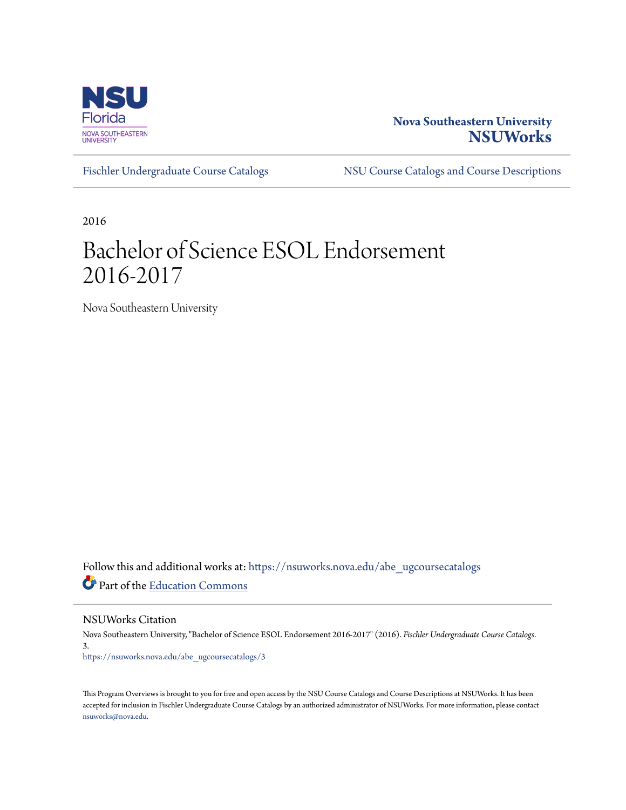

## **Nova Southeastern University [NSUWorks](https://nsuworks.nova.edu?utm_source=nsuworks.nova.edu%2Fabe_ugcoursecatalogs%2F3&utm_medium=PDF&utm_campaign=PDFCoverPages)**

[Fischler Undergraduate Course Catalogs](https://nsuworks.nova.edu/abe_ugcoursecatalogs?utm_source=nsuworks.nova.edu%2Fabe_ugcoursecatalogs%2F3&utm_medium=PDF&utm_campaign=PDFCoverPages) [NSU Course Catalogs and Course Descriptions](https://nsuworks.nova.edu/nsu_catalogs?utm_source=nsuworks.nova.edu%2Fabe_ugcoursecatalogs%2F3&utm_medium=PDF&utm_campaign=PDFCoverPages)

2016

## Bachelor of Science ESOL Endorsement 2016-2017

Nova Southeastern University

Follow this and additional works at: [https://nsuworks.nova.edu/abe\\_ugcoursecatalogs](https://nsuworks.nova.edu/abe_ugcoursecatalogs?utm_source=nsuworks.nova.edu%2Fabe_ugcoursecatalogs%2F3&utm_medium=PDF&utm_campaign=PDFCoverPages) Part of the [Education Commons](http://network.bepress.com/hgg/discipline/784?utm_source=nsuworks.nova.edu%2Fabe_ugcoursecatalogs%2F3&utm_medium=PDF&utm_campaign=PDFCoverPages)

NSUWorks Citation

Nova Southeastern University, "Bachelor of Science ESOL Endorsement 2016-2017" (2016). *Fischler Undergraduate Course Catalogs*. 3. [https://nsuworks.nova.edu/abe\\_ugcoursecatalogs/3](https://nsuworks.nova.edu/abe_ugcoursecatalogs/3?utm_source=nsuworks.nova.edu%2Fabe_ugcoursecatalogs%2F3&utm_medium=PDF&utm_campaign=PDFCoverPages)

This Program Overviews is brought to you for free and open access by the NSU Course Catalogs and Course Descriptions at NSUWorks. It has been accepted for inclusion in Fischler Undergraduate Course Catalogs by an authorized administrator of NSUWorks. For more information, please contact [nsuworks@nova.edu.](mailto:nsuworks@nova.edu)